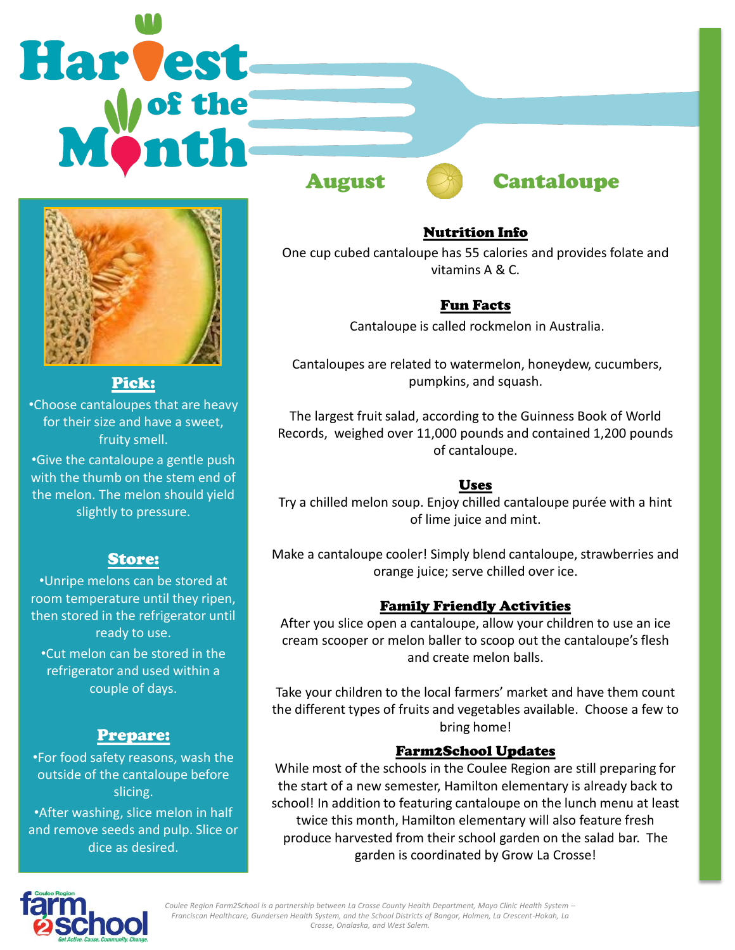# Harvest



# Pick:

•Choose cantaloupes that are heavy for their size and have a sweet, fruity smell.

•Give the cantaloupe a gentle push with the thumb on the stem end of the melon. The melon should yield slightly to pressure.

# Store:

•Unripe melons can be stored at room temperature until they ripen, then stored in the refrigerator until ready to use. •Cut melon can be stored in the

refrigerator and used within a couple of days.

# Prepare:

•For food safety reasons, wash the outside of the cantaloupe before slicing. •After washing, slice melon in half

and remove seeds and pulp. Slice or dice as desired.



#### Nutrition Info

One cup cubed cantaloupe has 55 calories and provides folate and vitamins A & C.

### Fun Facts

Cantaloupe is called rockmelon in Australia.

Cantaloupes are related to watermelon, honeydew, cucumbers, pumpkins, and squash.

The largest fruit salad, according to the Guinness Book of World Records, weighed over 11,000 pounds and contained 1,200 pounds of cantaloupe.

# Uses

Try a chilled melon soup. Enjoy chilled cantaloupe purée with a hint of lime juice and mint.

Make a cantaloupe cooler! Simply blend cantaloupe, strawberries and orange juice; serve chilled over ice.

#### Family Friendly Activities

After you slice open a cantaloupe, allow your children to use an ice cream scooper or melon baller to scoop out the cantaloupe's flesh and create melon balls.

Take your children to the local farmers' market and have them count the different types of fruits and vegetables available. Choose a few to bring home!

#### Farm2School Updates

While most of the schools in the Coulee Region are still preparing for the start of a new semester, Hamilton elementary is already back to school! In addition to featuring cantaloupe on the lunch menu at least twice this month, Hamilton elementary will also feature fresh produce harvested from their school garden on the salad bar. The garden is coordinated by Grow La Crosse!



*Coulee Region Farm2School is a partnership between La Crosse County Health Department, Mayo Clinic Health System – Franciscan Healthcare, Gundersen Health System, and the School Districts of Bangor, Holmen, La Crescent-Hokah, La Crosse, Onalaska, and West Salem.*